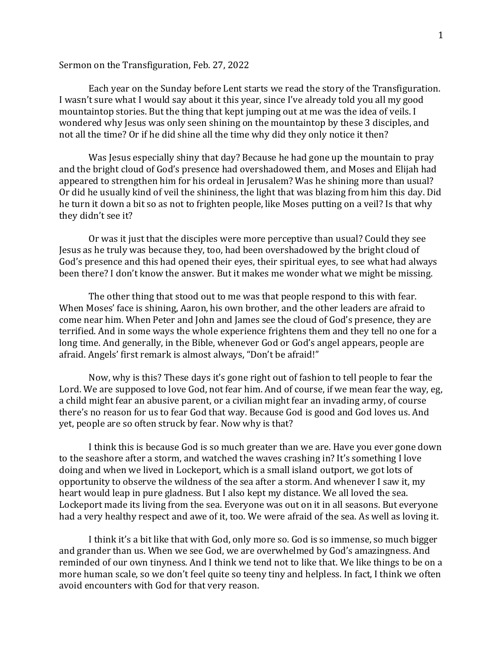## Sermon on the Transfiguration, Feb. 27, 2022

Each year on the Sunday before Lent starts we read the story of the Transfiguration. I wasn't sure what I would say about it this year, since I've already told you all my good mountaintop stories. But the thing that kept jumping out at me was the idea of veils. I wondered why Jesus was only seen shining on the mountaintop by these 3 disciples, and not all the time? Or if he did shine all the time why did they only notice it then?

Was Jesus especially shiny that day? Because he had gone up the mountain to pray and the bright cloud of God's presence had overshadowed them, and Moses and Elijah had appeared to strengthen him for his ordeal in Jerusalem? Was he shining more than usual? Or did he usually kind of veil the shininess, the light that was blazing from him this day. Did he turn it down a bit so as not to frighten people, like Moses putting on a veil? Is that why they didn't see it?

Or was it just that the disciples were more perceptive than usual? Could they see Jesus as he truly was because they, too, had been overshadowed by the bright cloud of God's presence and this had opened their eyes, their spiritual eyes, to see what had always been there? I don't know the answer. But it makes me wonder what we might be missing.

The other thing that stood out to me was that people respond to this with fear. When Moses' face is shining, Aaron, his own brother, and the other leaders are afraid to come near him. When Peter and John and James see the cloud of God's presence, they are terrified. And in some ways the whole experience frightens them and they tell no one for a long time. And generally, in the Bible, whenever God or God's angel appears, people are afraid. Angels' first remark is almost always, "Don't be afraid!"

Now, why is this? These days it's gone right out of fashion to tell people to fear the Lord. We are supposed to love God, not fear him. And of course, if we mean fear the way, eg, a child might fear an abusive parent, or a civilian might fear an invading army, of course there's no reason for us to fear God that way. Because God is good and God loves us. And yet, people are so often struck by fear. Now why is that?

I think this is because God is so much greater than we are. Have you ever gone down to the seashore after a storm, and watched the waves crashing in? It's something I love doing and when we lived in Lockeport, which is a small island outport, we got lots of opportunity to observe the wildness of the sea after a storm. And whenever I saw it, my heart would leap in pure gladness. But I also kept my distance. We all loved the sea. Lockeport made its living from the sea. Everyone was out on it in all seasons. But everyone had a very healthy respect and awe of it, too. We were afraid of the sea. As well as loving it.

I think it's a bit like that with God, only more so. God is so immense, so much bigger and grander than us. When we see God, we are overwhelmed by God's amazingness. And reminded of our own tinyness. And I think we tend not to like that. We like things to be on a more human scale, so we don't feel quite so teeny tiny and helpless. In fact, I think we often avoid encounters with God for that very reason.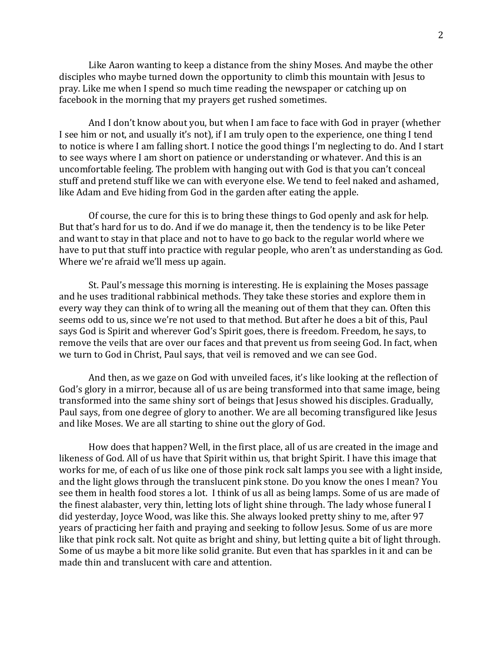Like Aaron wanting to keep a distance from the shiny Moses. And maybe the other disciples who maybe turned down the opportunity to climb this mountain with Jesus to pray. Like me when I spend so much time reading the newspaper or catching up on facebook in the morning that my prayers get rushed sometimes.

And I don't know about you, but when I am face to face with God in prayer (whether I see him or not, and usually it's not), if I am truly open to the experience, one thing I tend to notice is where I am falling short. I notice the good things I'm neglecting to do. And I start to see ways where I am short on patience or understanding or whatever. And this is an uncomfortable feeling. The problem with hanging out with God is that you can't conceal stuff and pretend stuff like we can with everyone else. We tend to feel naked and ashamed, like Adam and Eve hiding from God in the garden after eating the apple.

Of course, the cure for this is to bring these things to God openly and ask for help. But that's hard for us to do. And if we do manage it, then the tendency is to be like Peter and want to stay in that place and not to have to go back to the regular world where we have to put that stuff into practice with regular people, who aren't as understanding as God. Where we're afraid we'll mess up again.

St. Paul's message this morning is interesting. He is explaining the Moses passage and he uses traditional rabbinical methods. They take these stories and explore them in every way they can think of to wring all the meaning out of them that they can. Often this seems odd to us, since we're not used to that method. But after he does a bit of this, Paul says God is Spirit and wherever God's Spirit goes, there is freedom. Freedom, he says, to remove the veils that are over our faces and that prevent us from seeing God. In fact, when we turn to God in Christ, Paul says, that veil is removed and we can see God.

And then, as we gaze on God with unveiled faces, it's like looking at the reflection of God's glory in a mirror, because all of us are being transformed into that same image, being transformed into the same shiny sort of beings that Jesus showed his disciples. Gradually, Paul says, from one degree of glory to another. We are all becoming transfigured like Jesus and like Moses. We are all starting to shine out the glory of God.

How does that happen? Well, in the first place, all of us are created in the image and likeness of God. All of us have that Spirit within us, that bright Spirit. I have this image that works for me, of each of us like one of those pink rock salt lamps you see with a light inside, and the light glows through the translucent pink stone. Do you know the ones I mean? You see them in health food stores a lot. I think of us all as being lamps. Some of us are made of the finest alabaster, very thin, letting lots of light shine through. The lady whose funeral I did yesterday, Joyce Wood, was like this. She always looked pretty shiny to me, after 97 years of practicing her faith and praying and seeking to follow Jesus. Some of us are more like that pink rock salt. Not quite as bright and shiny, but letting quite a bit of light through. Some of us maybe a bit more like solid granite. But even that has sparkles in it and can be made thin and translucent with care and attention.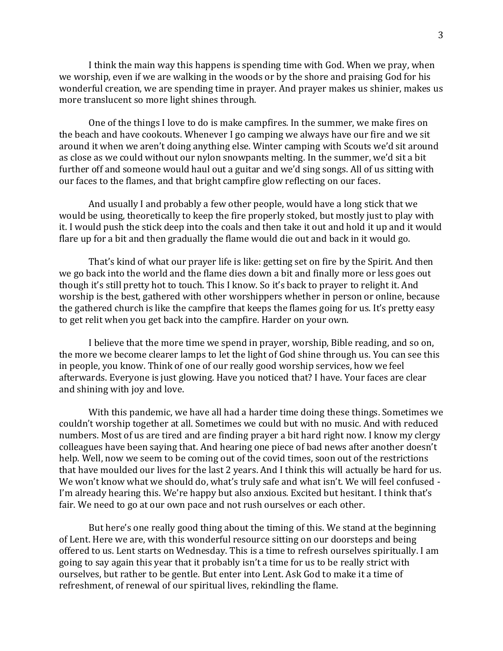I think the main way this happens is spending time with God. When we pray, when we worship, even if we are walking in the woods or by the shore and praising God for his wonderful creation, we are spending time in prayer. And prayer makes us shinier, makes us more translucent so more light shines through.

One of the things I love to do is make campfires. In the summer, we make fires on the beach and have cookouts. Whenever I go camping we always have our fire and we sit around it when we aren't doing anything else. Winter camping with Scouts we'd sit around as close as we could without our nylon snowpants melting. In the summer, we'd sit a bit further off and someone would haul out a guitar and we'd sing songs. All of us sitting with our faces to the flames, and that bright campfire glow reflecting on our faces.

And usually I and probably a few other people, would have a long stick that we would be using, theoretically to keep the fire properly stoked, but mostly just to play with it. I would push the stick deep into the coals and then take it out and hold it up and it would flare up for a bit and then gradually the flame would die out and back in it would go.

That's kind of what our prayer life is like: getting set on fire by the Spirit. And then we go back into the world and the flame dies down a bit and finally more or less goes out though it's still pretty hot to touch. This I know. So it's back to prayer to relight it. And worship is the best, gathered with other worshippers whether in person or online, because the gathered church is like the campfire that keeps the flames going for us. It's pretty easy to get relit when you get back into the campfire. Harder on your own.

I believe that the more time we spend in prayer, worship, Bible reading, and so on, the more we become clearer lamps to let the light of God shine through us. You can see this in people, you know. Think of one of our really good worship services, how we feel afterwards. Everyone is just glowing. Have you noticed that? I have. Your faces are clear and shining with joy and love.

With this pandemic, we have all had a harder time doing these things. Sometimes we couldn't worship together at all. Sometimes we could but with no music. And with reduced numbers. Most of us are tired and are finding prayer a bit hard right now. I know my clergy colleagues have been saying that. And hearing one piece of bad news after another doesn't help. Well, now we seem to be coming out of the covid times, soon out of the restrictions that have moulded our lives for the last 2 years. And I think this will actually be hard for us. We won't know what we should do, what's truly safe and what isn't. We will feel confused - I'm already hearing this. We're happy but also anxious. Excited but hesitant. I think that's fair. We need to go at our own pace and not rush ourselves or each other.

But here's one really good thing about the timing of this. We stand at the beginning of Lent. Here we are, with this wonderful resource sitting on our doorsteps and being offered to us. Lent starts on Wednesday. This is a time to refresh ourselves spiritually. I am going to say again this year that it probably isn't a time for us to be really strict with ourselves, but rather to be gentle. But enter into Lent. Ask God to make it a time of refreshment, of renewal of our spiritual lives, rekindling the flame.